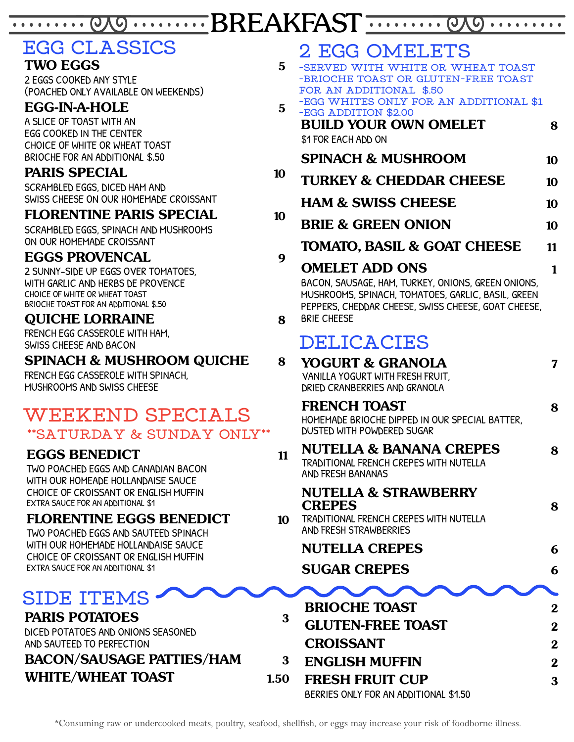WEBREAKFAST . . . . . . . . . 

# **EGG CLASSICS**

#### **TWO EGGS 5**

2 EGGS COOKED ANY STYLE (POACHED ONLY AVAILABLE ON WEEKENDS)

## **EGG-IN-A-HOLE 5**

A SLICE OF TOAST WITH AN EGG COOKED IN THE CENTER CHOICE OF WHITE OR WHEAT TOAST BRIOCHE FOR AN ADDITIONAL \$.50

#### **PARIS SPECIAL 10**

SCRAMBLED EGGS, DICED HAM AND SWISS CHEESE ON OUR HOMEMADE CROISSANT

#### **FLORENTINE PARIS SPECIAL 10**

SCRAMBLED EGGS, SPINACH AND MUSHROOMS ON OUR HOMEMADE CROISSANT

## **EGGS PROVENCAL 9**

2 SUNNY-SIDE UP EGGS OVER TOMATOES, WITH GARLIC AND HERBS DE PROVENCE CHOICE OF WHITE OR WHEAT TOAST BRIOCHE TOAST FOR AN ADDITIONAL \$.50

## **QUICHE LORRAINE 8**

FRENCH EGG CASSEROLE WITH HAM, SWISS CHEESE AND BACON

#### **SPINACH & MUSHROOM QUICHE 8**

FRENCH EGG CASSEROLE WITH SPINACH, MUSHROOMS AND SWISS CHEESE

## **WEEKEND SPECIALS \*\*SATURDAY & SUNDAY ONLY\*\***

## **EGGS BENEDICT 11**

TWO POACHED EGGS AND CANADIAN BACON WITH OUR HOMEADE HOLLANDAISE SAUCE CHOICE OF CROISSANT OR ENGLISH MUFFIN EXTRA SAUCE FOR AN ADDITIONAL \$1

## **FLORENTINE EGGS BENEDICT 10**

TWO POACHED EGGS AND SAUTEED SPINACH WITH OUR HOMEMADE HOLLANDAISE SAUCE CHOICE OF CROISSANT OR ENGLISH MUFFIN EXTRA SAUCE FOR AN ADDITIONAL \$1

## **SIDE ITEMS**

#### **PARIS POTATOES 3**

DICED POTATOES AND ONIONS SEASONED AND SAUTEED TO PERFECTION

# **BACON/SAUSAGE PATTIES/HAM 3**

**WHITE/WHEAT TOAST 1.50**

# **2 EGG OMELETS**

- **-SERVED WITH WHITE OR WHEAT TOAST -BRIOCHE TOAST OR GLUTEN-FREE TOAST FOR AN ADDITIONAL \$.50 -EGG WHITES ONLY FOR AN ADDITIONAL \$1**
- **BUILD YOUR OWN OMELET 8** \$1 FOR EACH ADD ON **SPINACH & MUSHROOM 10 -EGG ADDITION \$2.00**
- **TURKEY & CHEDDAR CHEESE 10**
- **HAM & SWISS CHEESE 10**
- **BRIE & GREEN ONION 10**
	- **TOMATO, BASIL & GOAT CHEESE 11**

## **OMELET ADD ONS 1**

BACON, SAUSAGE, HAM, TURKEY, ONIONS, GREEN ONIONS, MUSHROOMS, SPINACH, TOMATOES, GARLIC, BASIL, GREEN PEPPERS, CHEDDAR CHEESE, SWISS CHEESE, GOAT CHEESE, BRIE CHEESE

## **DELICACIES**

| 8    | YOGURT & GRANOLA<br>VANILLA YOGURT WITH FRESH FRUIT,<br>DRIED CRANBERRIES AND GRANOLA                                | 7              |
|------|----------------------------------------------------------------------------------------------------------------------|----------------|
|      | <b>FRENCH TOAST</b><br>HOMEMADE BRIOCHE DIPPED IN OUR SPECIAL BATTER,<br>DUSTED WITH POWDERED SUGAR                  | 8              |
| 11   | <b>NUTELLA &amp; BANANA CREPES</b><br><b>TRADITIONAL FRENCH CREPES WITH NUTELLA</b><br><b>AND FRESH BANANAS</b>      | 8              |
| 10   | <b>NUTELLA &amp; STRAWBERRY</b><br><b>CREPES</b><br>TRADITIONAL FRENCH CREPES WITH NUTELLA<br>AND FRESH STRAWBERRIES | 8              |
|      | <b>NUTELLA CREPES</b>                                                                                                | 6              |
|      | <b>SUGAR CREPES</b>                                                                                                  | 6              |
|      |                                                                                                                      |                |
| 3    | <b>BRIOCHE TOAST</b>                                                                                                 | $\overline{2}$ |
|      | <b>GLUTEN-FREE TOAST</b>                                                                                             | $\bf{2}$       |
|      | <b>CROISSANT</b>                                                                                                     | $\bf{2}$       |
| 3    | <b>ENGLISH MUFFIN</b>                                                                                                | $\overline{2}$ |
| 1.50 | <b>FRESH FRUIT CUP</b>                                                                                               | 3              |

BERRIES ONLY FOR AN ADDITIONAL \$1.50

\*Consuming raw or undercooked meats, poultry, seafood, shellfish, or eggs may increase your risk of foodborne illness.